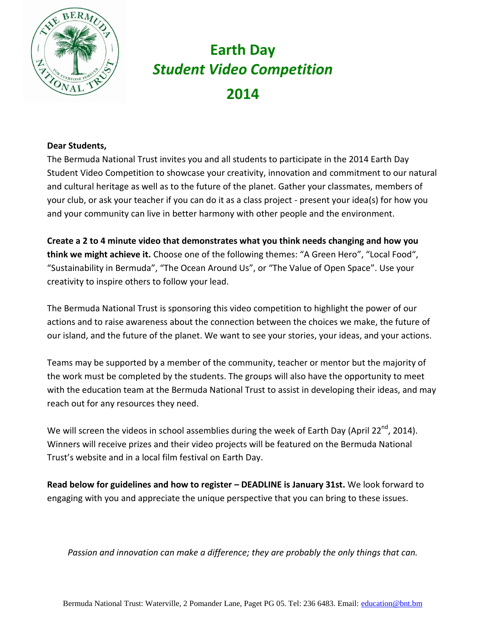

#### **Dear Students,**

The Bermuda National Trust invites you and all students to participate in the 2014 Earth Day Student Video Competition to showcase your creativity, innovation and commitment to our natural and cultural heritage as well as to the future of the planet. Gather your classmates, members of your club, or ask your teacher if you can do it as a class project - present your idea(s) for how you and your community can live in better harmony with other people and the environment.

**Create a 2 to 4 minute video that demonstrates what you think needs changing and how you think we might achieve it.** Choose one of the following themes: "A Green Hero", "Local Food", "Sustainability in Bermuda", "The Ocean Around Us", or "The Value of Open Space". Use your creativity to inspire others to follow your lead.

The Bermuda National Trust is sponsoring this video competition to highlight the power of our actions and to raise awareness about the connection between the choices we make, the future of our island, and the future of the planet. We want to see your stories, your ideas, and your actions.

Teams may be supported by a member of the community, teacher or mentor but the majority of the work must be completed by the students. The groups will also have the opportunity to meet with the education team at the Bermuda National Trust to assist in developing their ideas, and may reach out for any resources they need.

We will screen the videos in school assemblies during the week of Earth Day (April 22<sup>nd</sup>, 2014). Winners will receive prizes and their video projects will be featured on the Bermuda National Trust's website and in a local film festival on Earth Day.

**Read below for guidelines and how to register – DEADLINE is January 31st.** We look forward to engaging with you and appreciate the unique perspective that you can bring to these issues.

*Passion and innovation can make a difference; they are probably the only things that can.*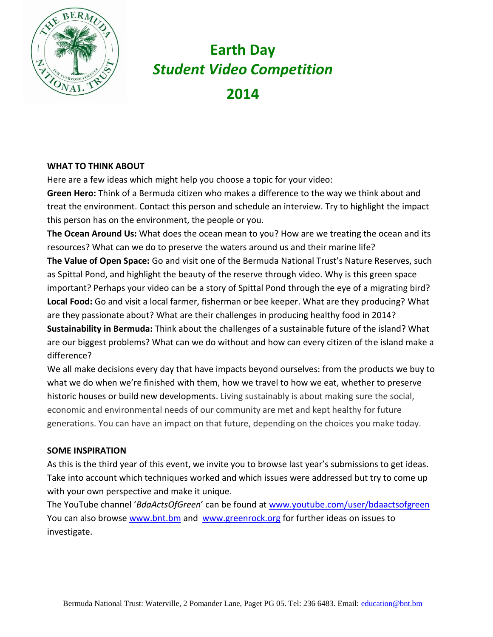

#### **WHAT TO THINK ABOUT**

Here are a few ideas which might help you choose a topic for your video:

**Green Hero:** Think of a Bermuda citizen who makes a difference to the way we think about and treat the environment. Contact this person and schedule an interview. Try to highlight the impact this person has on the environment, the people or you.

**The Ocean Around Us:** What does the ocean mean to you? How are we treating the ocean and its resources? What can we do to preserve the waters around us and their marine life?

**The Value of Open Space:** Go and visit one of the Bermuda National Trust's Nature Reserves, such as Spittal Pond, and highlight the beauty of the reserve through video. Why is this green space important? Perhaps your video can be a story of Spittal Pond through the eye of a migrating bird? **Local Food:** Go and visit a local farmer, fisherman or bee keeper. What are they producing? What are they passionate about? What are their challenges in producing healthy food in 2014?

**Sustainability in Bermuda:** Think about the challenges of a sustainable future of the island? What are our biggest problems? What can we do without and how can every citizen of the island make a difference?

We all make decisions every day that have impacts beyond ourselves: from the products we buy to what we do when we're finished with them, how we travel to how we eat, whether to preserve historic houses or build new developments. Living sustainably is about making sure the social, economic and environmental needs of our community are met and kept healthy for future generations. You can have an impact on that future, depending on the choices you make today.

### **SOME INSPIRATION**

As this is the third year of this event, we invite you to browse last year's submissions to get ideas. Take into account which techniques worked and which issues were addressed but try to come up with your own perspective and make it unique.

The YouTube channel '*BdaActsOfGreen*' can be found at [www.youtube.com/user/bdaactsofgreen](http://www.youtube.com/user/bdaactsofgreen) You can also browse [www.bnt.bm](http://www.bnt.bm/) and [www.greenrock.org](http://www.greenrock.org/) for further ideas on issues to investigate.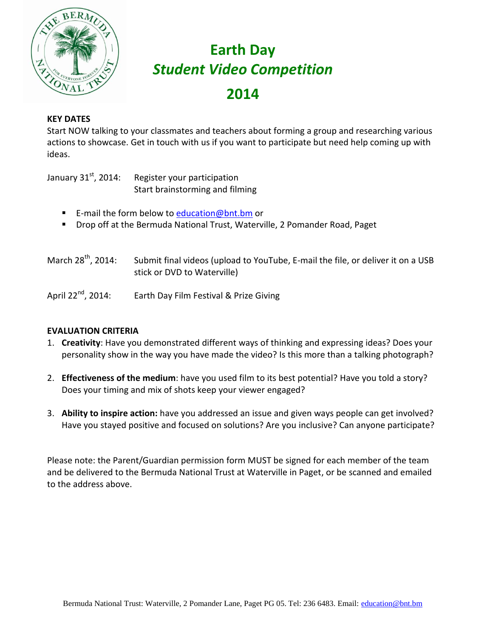

### **KEY DATES**

Start NOW talking to your classmates and teachers about forming a group and researching various actions to showcase. Get in touch with us if you want to participate but need help coming up with ideas.

January  $31<sup>st</sup>$ , 2014: Register your participation Start brainstorming and filming

- E-mail the form below to [education@bnt.bm](mailto:education@bnt.bm) or
- **Drop off at the Bermuda National Trust, Waterville, 2 Pomander Road, Paget**

| March 28 <sup>th</sup> , 2014: | Submit final videos (upload to YouTube, E-mail the file, or deliver it on a USB |
|--------------------------------|---------------------------------------------------------------------------------|
|                                | stick or DVD to Waterville)                                                     |

April 22<sup>nd</sup>, 2014: Earth Day Film Festival & Prize Giving

### **EVALUATION CRITERIA**

- 1. **Creativity**: Have you demonstrated different ways of thinking and expressing ideas? Does your personality show in the way you have made the video? Is this more than a talking photograph?
- 2. **Effectiveness of the medium**: have you used film to its best potential? Have you told a story? Does your timing and mix of shots keep your viewer engaged?
- 3. **Ability to inspire action:** have you addressed an issue and given ways people can get involved? Have you stayed positive and focused on solutions? Are you inclusive? Can anyone participate?

Please note: the Parent/Guardian permission form MUST be signed for each member of the team and be delivered to the Bermuda National Trust at Waterville in Paget, or be scanned and emailed to the address above.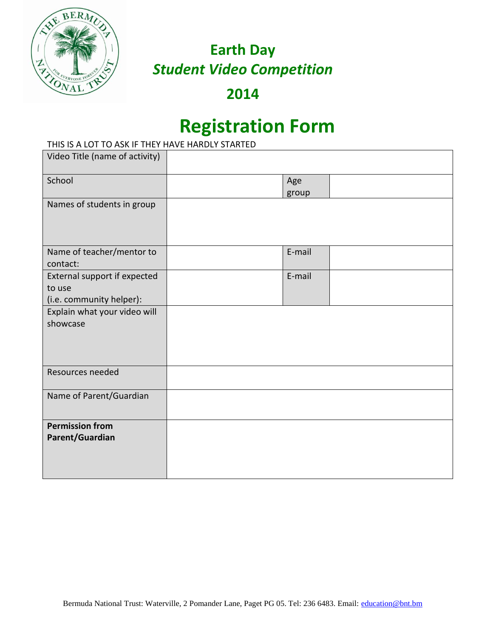

**2014**

## **Registration Form**

### THIS IS A LOT TO ASK IF THEY HAVE HARDLY STARTED

| Video Title (name of activity)                                     |              |
|--------------------------------------------------------------------|--------------|
| School                                                             | Age<br>group |
| Names of students in group                                         |              |
| Name of teacher/mentor to<br>contact:                              | E-mail       |
| External support if expected<br>to use<br>(i.e. community helper): | E-mail       |
| Explain what your video will<br>showcase                           |              |
| Resources needed                                                   |              |
| Name of Parent/Guardian                                            |              |
| <b>Permission from</b><br>Parent/Guardian                          |              |